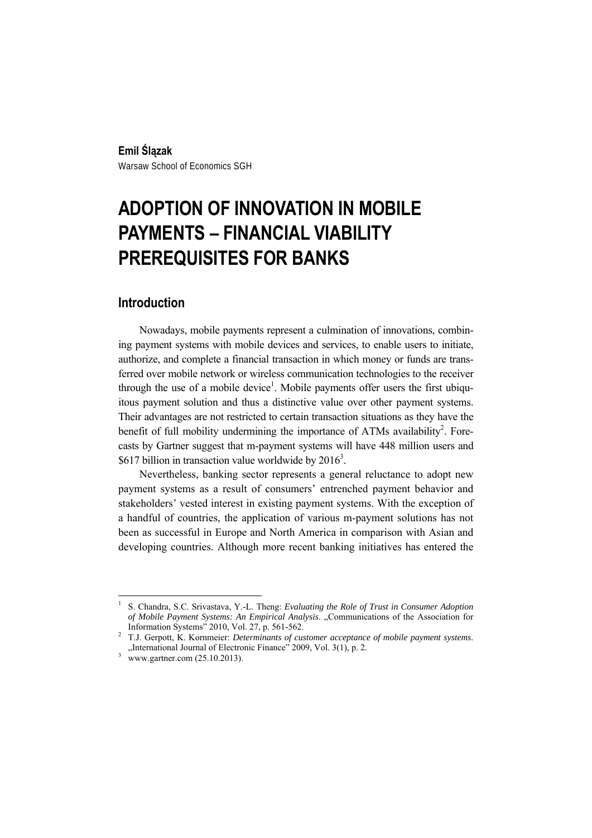**Emil Ślązak** 

Warsaw School of Economics SGH

# **ADOPTION OF INNOVATION IN MOBILE PAYMENTS – FINANCIAL VIABILITY PREREQUISITES FOR BANKS**

# **Introduction**

Nowadays, mobile payments represent a culmination of innovations, combining payment systems with mobile devices and services, to enable users to initiate, authorize, and complete a financial transaction in which money or funds are transferred over mobile network or wireless communication technologies to the receiver through the use of a mobile device<sup>1</sup>. Mobile payments offer users the first ubiquitous payment solution and thus a distinctive value over other payment systems. Their advantages are not restricted to certain transaction situations as they have the benefit of full mobility undermining the importance of ATMs availability<sup>2</sup>. Forecasts by Gartner suggest that m-payment systems will have 448 million users and \$617 billion in transaction value worldwide by  $2016^3$ .

Nevertheless, banking sector represents a general reluctance to adopt new payment systems as a result of consumers' entrenched payment behavior and stakeholders' vested interest in existing payment systems. With the exception of a handful of countries, the application of various m-payment solutions has not been as successful in Europe and North America in comparison with Asian and developing countries. Although more recent banking initiatives has entered the

<sup>1</sup> S. Chandra, S.C. Srivastava, Y.-L. Theng: *Evaluating the Role of Trust in Consumer Adoption of Mobile Payment Systems: An Empirical Analysis*. "Communications of the Association for Information Systems" 2010, Vol. 27, p. 561-562. 2

T.J. Gerpott, K. Kornmeier: *Determinants of customer acceptance of mobile payment systems*. "International Journal of Electronic Finance" 2009, Vol. 3(1), p. 2.<br> $\frac{3}{2}$  years come (25, 10, 2012).

www.gartner.com (25.10.2013).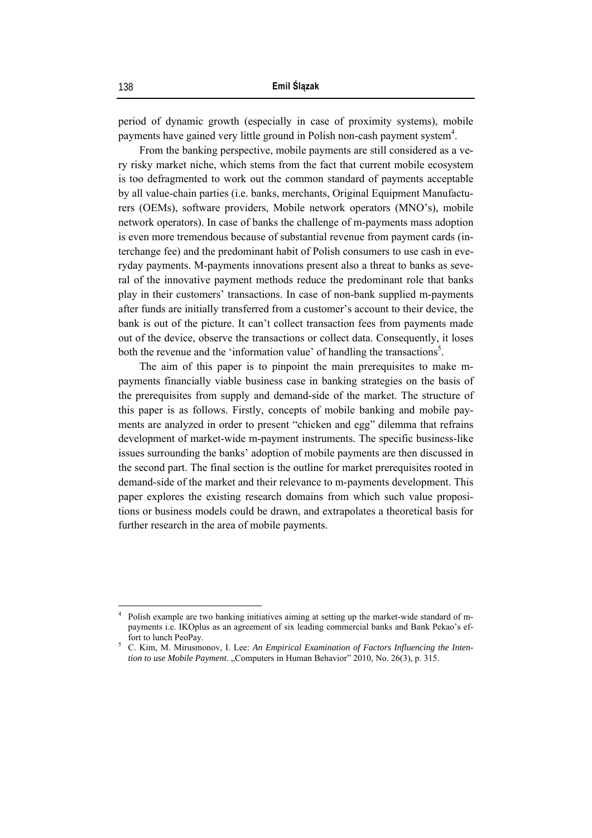period of dynamic growth (especially in case of proximity systems), mobile payments have gained very little ground in Polish non-cash payment system<sup>4</sup>.

From the banking perspective, mobile payments are still considered as a very risky market niche, which stems from the fact that current mobile ecosystem is too defragmented to work out the common standard of payments acceptable by all value-chain parties (i.e. banks, merchants, Original Equipment Manufacturers (OEMs), software providers, Mobile network operators (MNO's), mobile network operators). In case of banks the challenge of m-payments mass adoption is even more tremendous because of substantial revenue from payment cards (interchange fee) and the predominant habit of Polish consumers to use cash in everyday payments. M-payments innovations present also a threat to banks as several of the innovative payment methods reduce the predominant role that banks play in their customers' transactions. In case of non-bank supplied m-payments after funds are initially transferred from a customer's account to their device, the bank is out of the picture. It can't collect transaction fees from payments made out of the device, observe the transactions or collect data. Consequently, it loses both the revenue and the 'information value' of handling the transactions<sup>5</sup>.

The aim of this paper is to pinpoint the main prerequisites to make mpayments financially viable business case in banking strategies on the basis of the prerequisites from supply and demand-side of the market. The structure of this paper is as follows. Firstly, concepts of mobile banking and mobile payments are analyzed in order to present "chicken and egg" dilemma that refrains development of market-wide m-payment instruments. The specific business-like issues surrounding the banks' adoption of mobile payments are then discussed in the second part. The final section is the outline for market prerequisites rooted in demand-side of the market and their relevance to m-payments development. This paper explores the existing research domains from which such value propositions or business models could be drawn, and extrapolates a theoretical basis for further research in the area of mobile payments.

<sup>4</sup> Polish example are two banking initiatives aiming at setting up the market-wide standard of mpayments i.e. IKOplus as an agreement of six leading commercial banks and Bank Pekao's ef-

fort to lunch PeoPay.<br><sup>5</sup> C. Kim, M. Mirusmonov, I. Lee: An Empirical Examination of Factors Influencing the Inten*tion to use Mobile Payment.* "Computers in Human Behavior" 2010, No. 26(3), p. 315.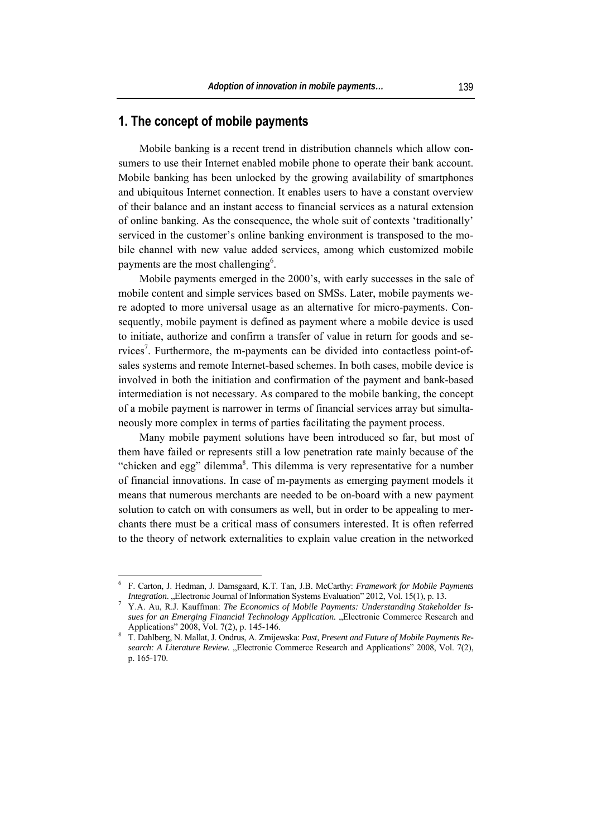## **1. The concept of mobile payments**

Mobile banking is a recent trend in distribution channels which allow consumers to use their Internet enabled mobile phone to operate their bank account. Mobile banking has been unlocked by the growing availability of smartphones and ubiquitous Internet connection. It enables users to have a constant overview of their balance and an instant access to financial services as a natural extension of online banking. As the consequence, the whole suit of contexts 'traditionally' serviced in the customer's online banking environment is transposed to the mobile channel with new value added services, among which customized mobile payments are the most challenging $6$ .

Mobile payments emerged in the 2000's, with early successes in the sale of mobile content and simple services based on SMSs. Later, mobile payments were adopted to more universal usage as an alternative for micro-payments. Consequently, mobile payment is defined as payment where a mobile device is used to initiate, authorize and confirm a transfer of value in return for goods and services<sup>7</sup>. Furthermore, the m-payments can be divided into contactless point-ofsales systems and remote Internet-based schemes. In both cases, mobile device is involved in both the initiation and confirmation of the payment and bank-based intermediation is not necessary. As compared to the mobile banking, the concept of a mobile payment is narrower in terms of financial services array but simultaneously more complex in terms of parties facilitating the payment process.

Many mobile payment solutions have been introduced so far, but most of them have failed or represents still a low penetration rate mainly because of the "chicken and egg" dilemma<sup>8</sup>. This dilemma is very representative for a number of financial innovations. In case of m-payments as emerging payment models it means that numerous merchants are needed to be on-board with a new payment solution to catch on with consumers as well, but in order to be appealing to merchants there must be a critical mass of consumers interested. It is often referred to the theory of network externalities to explain value creation in the networked

<sup>6</sup> F. Carton, J. Hedman, J. Damsgaard, K.T. Tan, J.B. McCarthy: *Framework for Mobile Payments Integration.* "Electronic Journal of Information Systems Evaluation" 2012, Vol. 15(1), p. 13.

Y.A. Au, R.J. Kauffman: *The Economics of Mobile Payments: Understanding Stakeholder Issues for an Emerging Financial Technology Application.* "Electronic Commerce Research and Applications" 2008, Vol. 7(2), p. 145-146. 8

T. Dahlberg, N. Mallat, J. Ondrus, A. Zmijewska: *Past, Present and Future of Mobile Payments Re*search: A Literature Review. "Electronic Commerce Research and Applications" 2008, Vol. 7(2), p. 165-170.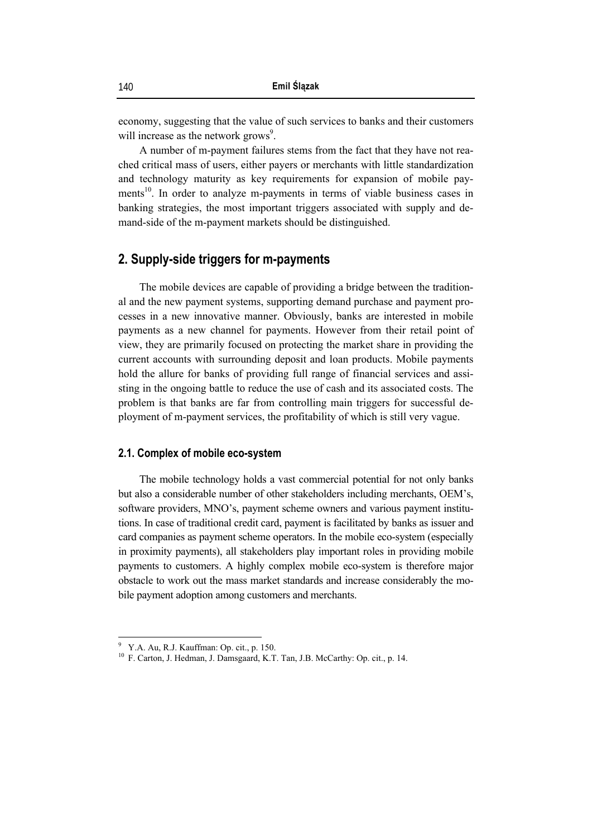economy, suggesting that the value of such services to banks and their customers will increase as the network grows<sup>9</sup>.

A number of m-payment failures stems from the fact that they have not reached critical mass of users, either payers or merchants with little standardization and technology maturity as key requirements for expansion of mobile payments<sup>10</sup>. In order to analyze m-payments in terms of viable business cases in banking strategies, the most important triggers associated with supply and demand-side of the m-payment markets should be distinguished.

# **2. Supply-side triggers for m-payments**

The mobile devices are capable of providing a bridge between the traditional and the new payment systems, supporting demand purchase and payment processes in a new innovative manner. Obviously, banks are interested in mobile payments as a new channel for payments. However from their retail point of view, they are primarily focused on protecting the market share in providing the current accounts with surrounding deposit and loan products. Mobile payments hold the allure for banks of providing full range of financial services and assisting in the ongoing battle to reduce the use of cash and its associated costs. The problem is that banks are far from controlling main triggers for successful deployment of m-payment services, the profitability of which is still very vague.

#### **2.1. Complex of mobile eco-system**

The mobile technology holds a vast commercial potential for not only banks but also a considerable number of other stakeholders including merchants, OEM's, software providers, MNO's, payment scheme owners and various payment institutions. In case of traditional credit card, payment is facilitated by banks as issuer and card companies as payment scheme operators. In the mobile eco-system (especially in proximity payments), all stakeholders play important roles in providing mobile payments to customers. A highly complex mobile eco-system is therefore major obstacle to work out the mass market standards and increase considerably the mobile payment adoption among customers and merchants.

 $9$  Y.A. Au, R.J. Kauffman: Op. cit., p. 150.

<sup>&</sup>lt;sup>10</sup> F. Carton, J. Hedman, J. Damsgaard, K.T. Tan, J.B. McCarthy: Op. cit., p. 14.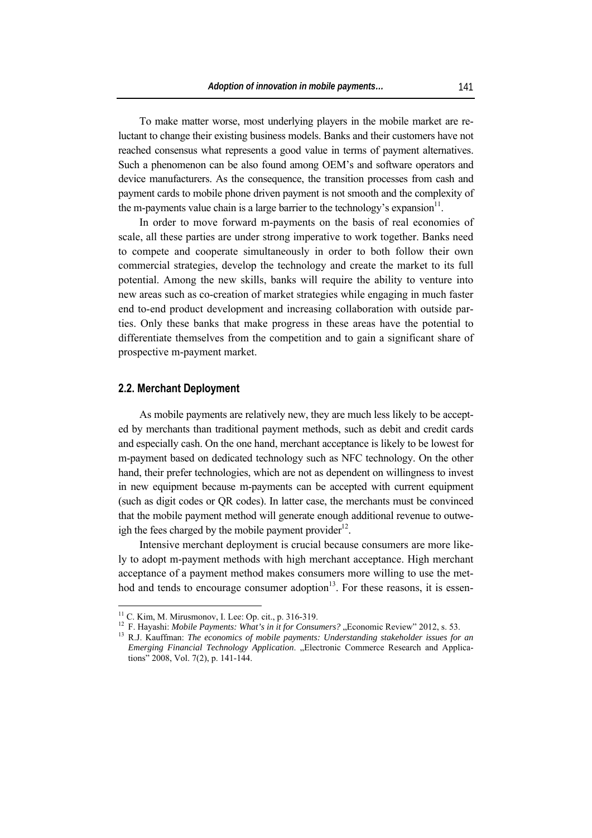To make matter worse, most underlying players in the mobile market are reluctant to change their existing business models. Banks and their customers have not reached consensus what represents a good value in terms of payment alternatives. Such a phenomenon can be also found among OEM's and software operators and device manufacturers. As the consequence, the transition processes from cash and payment cards to mobile phone driven payment is not smooth and the complexity of the m-payments value chain is a large barrier to the technology's expansion $1^1$ .

In order to move forward m-payments on the basis of real economies of scale, all these parties are under strong imperative to work together. Banks need to compete and cooperate simultaneously in order to both follow their own commercial strategies, develop the technology and create the market to its full potential. Among the new skills, banks will require the ability to venture into new areas such as co-creation of market strategies while engaging in much faster end to-end product development and increasing collaboration with outside parties. Only these banks that make progress in these areas have the potential to differentiate themselves from the competition and to gain a significant share of prospective m-payment market.

### **2.2. Merchant Deployment**

As mobile payments are relatively new, they are much less likely to be accepted by merchants than traditional payment methods, such as debit and credit cards and especially cash. On the one hand, merchant acceptance is likely to be lowest for m-payment based on dedicated technology such as NFC technology. On the other hand, their prefer technologies, which are not as dependent on willingness to invest in new equipment because m-payments can be accepted with current equipment (such as digit codes or QR codes). In latter case, the merchants must be convinced that the mobile payment method will generate enough additional revenue to outweigh the fees charged by the mobile payment provider<sup>12</sup>.

Intensive merchant deployment is crucial because consumers are more likely to adopt m-payment methods with high merchant acceptance. High merchant acceptance of a payment method makes consumers more willing to use the method and tends to encourage consumer adoption $13$ . For these reasons, it is essen-

 $11$  C. Kim, M. Mirusmonov, I. Lee: Op. cit., p. 316-319.

<sup>&</sup>lt;sup>12</sup> F. Hayashi: *Mobile Payments: What's in it for Consumers?* "Economic Review" 2012, s. 53.<br><sup>13</sup> R.J. Kauffman: *The economics of mobile payments: Understanding stakeholder issues for an* 

*Emerging Financial Technology Application*. "Electronic Commerce Research and Applications" 2008, Vol. 7(2), p. 141-144.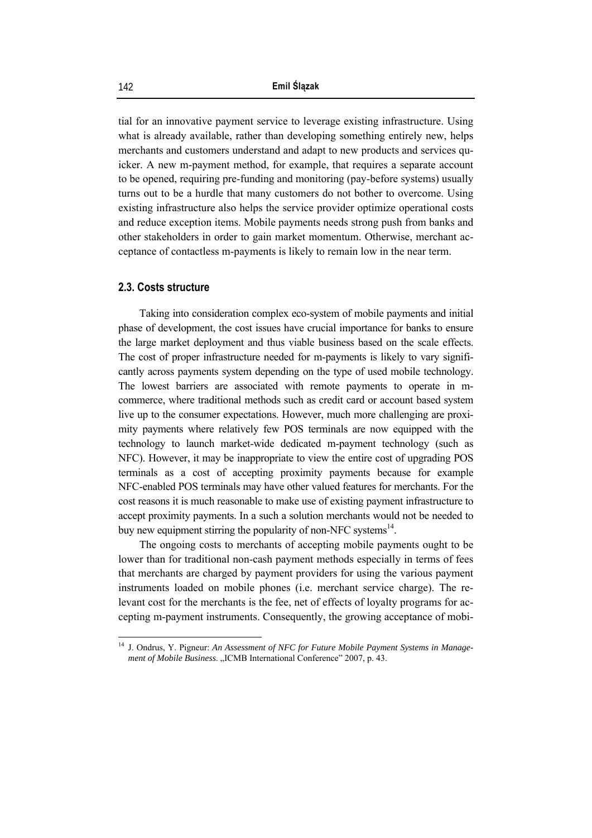tial for an innovative payment service to leverage existing infrastructure. Using what is already available, rather than developing something entirely new, helps merchants and customers understand and adapt to new products and services quicker. A new m-payment method, for example, that requires a separate account to be opened, requiring pre-funding and monitoring (pay-before systems) usually turns out to be a hurdle that many customers do not bother to overcome. Using existing infrastructure also helps the service provider optimize operational costs and reduce exception items. Mobile payments needs strong push from banks and other stakeholders in order to gain market momentum. Otherwise, merchant acceptance of contactless m-payments is likely to remain low in the near term.

#### **2.3. Costs structure**

 $\overline{a}$ 

Taking into consideration complex eco-system of mobile payments and initial phase of development, the cost issues have crucial importance for banks to ensure the large market deployment and thus viable business based on the scale effects. The cost of proper infrastructure needed for m-payments is likely to vary significantly across payments system depending on the type of used mobile technology. The lowest barriers are associated with remote payments to operate in mcommerce, where traditional methods such as credit card or account based system live up to the consumer expectations. However, much more challenging are proximity payments where relatively few POS terminals are now equipped with the technology to launch market-wide dedicated m-payment technology (such as NFC). However, it may be inappropriate to view the entire cost of upgrading POS terminals as a cost of accepting proximity payments because for example NFC-enabled POS terminals may have other valued features for merchants. For the cost reasons it is much reasonable to make use of existing payment infrastructure to accept proximity payments. In a such a solution merchants would not be needed to buy new equipment stirring the popularity of non-NFC systems<sup>14</sup>.

The ongoing costs to merchants of accepting mobile payments ought to be lower than for traditional non-cash payment methods especially in terms of fees that merchants are charged by payment providers for using the various payment instruments loaded on mobile phones (i.e. merchant service charge). The relevant cost for the merchants is the fee, net of effects of loyalty programs for accepting m-payment instruments. Consequently, the growing acceptance of mobi-

<sup>14</sup> J. Ondrus, Y. Pigneur: *An Assessment of NFC for Future Mobile Payment Systems in Management of Mobile Business.* "ICMB International Conference" 2007, p. 43.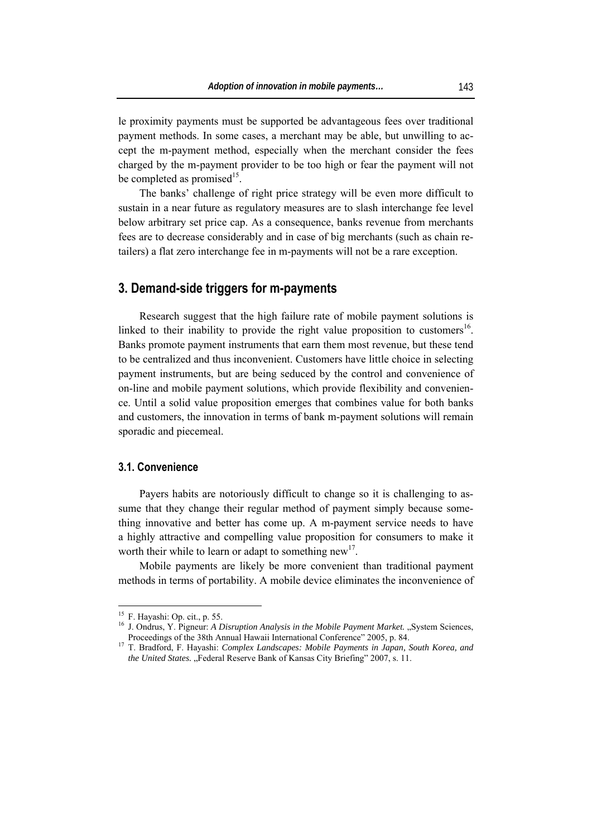le proximity payments must be supported be advantageous fees over traditional payment methods. In some cases, a merchant may be able, but unwilling to accept the m-payment method, especially when the merchant consider the fees charged by the m-payment provider to be too high or fear the payment will not be completed as promised<sup>15</sup>.

The banks' challenge of right price strategy will be even more difficult to sustain in a near future as regulatory measures are to slash interchange fee level below arbitrary set price cap. As a consequence, banks revenue from merchants fees are to decrease considerably and in case of big merchants (such as chain retailers) a flat zero interchange fee in m-payments will not be a rare exception.

## **3. Demand-side triggers for m-payments**

Research suggest that the high failure rate of mobile payment solutions is linked to their inability to provide the right value proposition to customers<sup>16</sup>. Banks promote payment instruments that earn them most revenue, but these tend to be centralized and thus inconvenient. Customers have little choice in selecting payment instruments, but are being seduced by the control and convenience of on-line and mobile payment solutions, which provide flexibility and convenience. Until a solid value proposition emerges that combines value for both banks and customers, the innovation in terms of bank m-payment solutions will remain sporadic and piecemeal.

## **3.1. Convenience**

Payers habits are notoriously difficult to change so it is challenging to assume that they change their regular method of payment simply because something innovative and better has come up. A m-payment service needs to have a highly attractive and compelling value proposition for consumers to make it worth their while to learn or adapt to something new<sup>17</sup>.

Mobile payments are likely be more convenient than traditional payment methods in terms of portability. A mobile device eliminates the inconvenience of

 $15$  F. Hayashi: Op. cit., p. 55.

<sup>&</sup>lt;sup>16</sup> J. Ondrus, Y. Pigneur: *A Disruption Analysis in the Mobile Payment Market.* "System Sciences, Proceedings of the 38th Annual Hawaii International Conference" 2005, p. 84. 17 T. Bradford, F. Hayashi: *Complex Landscapes: Mobile Payments in Japan, South Korea, and* 

*the United States.* "Federal Reserve Bank of Kansas City Briefing" 2007, s. 11.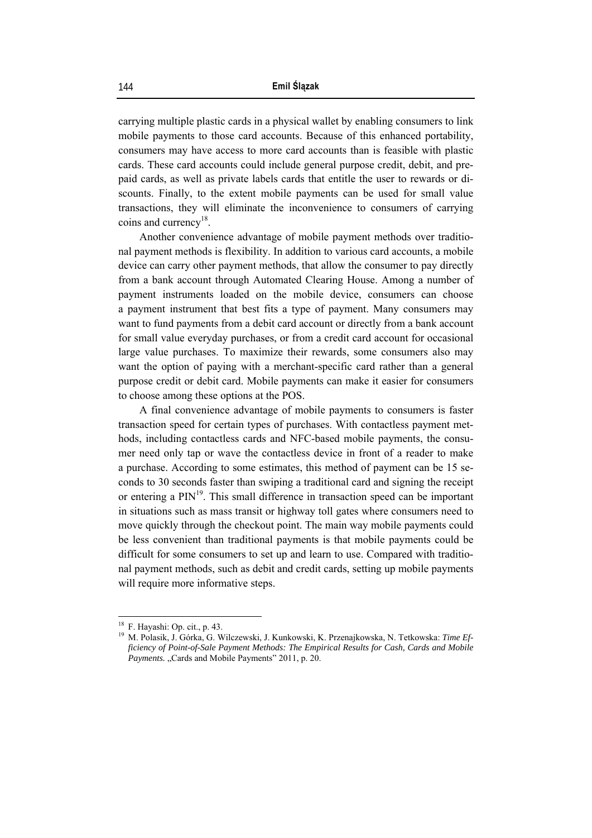carrying multiple plastic cards in a physical wallet by enabling consumers to link mobile payments to those card accounts. Because of this enhanced portability, consumers may have access to more card accounts than is feasible with plastic cards. These card accounts could include general purpose credit, debit, and prepaid cards, as well as private labels cards that entitle the user to rewards or discounts. Finally, to the extent mobile payments can be used for small value transactions, they will eliminate the inconvenience to consumers of carrying coins and currency<sup>18</sup>.

Another convenience advantage of mobile payment methods over traditional payment methods is flexibility. In addition to various card accounts, a mobile device can carry other payment methods, that allow the consumer to pay directly from a bank account through Automated Clearing House. Among a number of payment instruments loaded on the mobile device, consumers can choose a payment instrument that best fits a type of payment. Many consumers may want to fund payments from a debit card account or directly from a bank account for small value everyday purchases, or from a credit card account for occasional large value purchases. To maximize their rewards, some consumers also may want the option of paying with a merchant-specific card rather than a general purpose credit or debit card. Mobile payments can make it easier for consumers to choose among these options at the POS.

A final convenience advantage of mobile payments to consumers is faster transaction speed for certain types of purchases. With contactless payment methods, including contactless cards and NFC-based mobile payments, the consumer need only tap or wave the contactless device in front of a reader to make a purchase. According to some estimates, this method of payment can be 15 seconds to 30 seconds faster than swiping a traditional card and signing the receipt or entering a  $PIN<sup>19</sup>$ . This small difference in transaction speed can be important in situations such as mass transit or highway toll gates where consumers need to move quickly through the checkout point. The main way mobile payments could be less convenient than traditional payments is that mobile payments could be difficult for some consumers to set up and learn to use. Compared with traditional payment methods, such as debit and credit cards, setting up mobile payments will require more informative steps.

 $18$  F. Hayashi: Op. cit., p. 43.

<sup>19</sup> M. Polasik, J. Górka, G. Wilczewski, J. Kunkowski, K. Przenajkowska, N. Tetkowska: *Time Efficiency of Point-of-Sale Payment Methods: The Empirical Results for Cash, Cards and Mobile Payments.* "Cards and Mobile Payments" 2011, p. 20.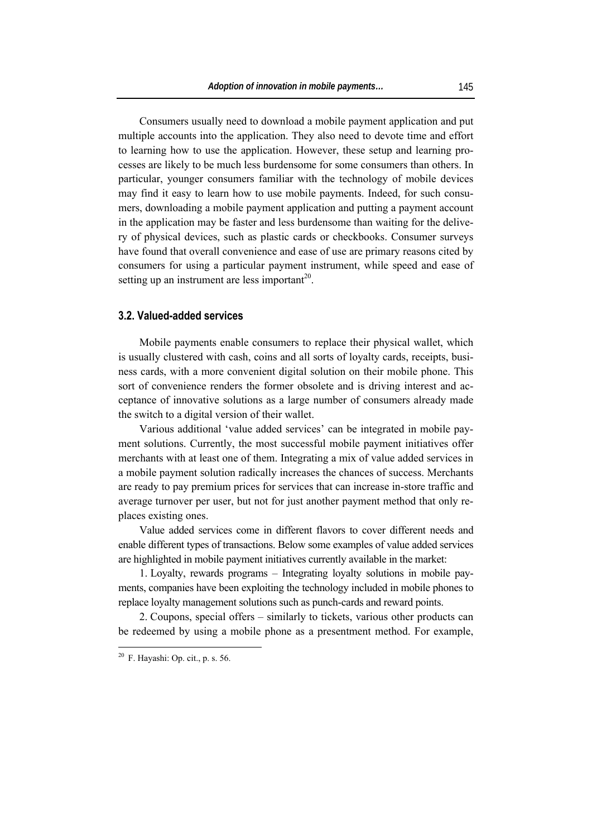Consumers usually need to download a mobile payment application and put multiple accounts into the application. They also need to devote time and effort to learning how to use the application. However, these setup and learning processes are likely to be much less burdensome for some consumers than others. In particular, younger consumers familiar with the technology of mobile devices may find it easy to learn how to use mobile payments. Indeed, for such consumers, downloading a mobile payment application and putting a payment account in the application may be faster and less burdensome than waiting for the delivery of physical devices, such as plastic cards or checkbooks. Consumer surveys have found that overall convenience and ease of use are primary reasons cited by consumers for using a particular payment instrument, while speed and ease of setting up an instrument are less important<sup>20</sup>.

#### **3.2. Valued-added services**

Mobile payments enable consumers to replace their physical wallet, which is usually clustered with cash, coins and all sorts of loyalty cards, receipts, business cards, with a more convenient digital solution on their mobile phone. This sort of convenience renders the former obsolete and is driving interest and acceptance of innovative solutions as a large number of consumers already made the switch to a digital version of their wallet.

Various additional 'value added services' can be integrated in mobile payment solutions. Currently, the most successful mobile payment initiatives offer merchants with at least one of them. Integrating a mix of value added services in a mobile payment solution radically increases the chances of success. Merchants are ready to pay premium prices for services that can increase in-store traffic and average turnover per user, but not for just another payment method that only replaces existing ones.

Value added services come in different flavors to cover different needs and enable different types of transactions. Below some examples of value added services are highlighted in mobile payment initiatives currently available in the market:

1. Loyalty, rewards programs – Integrating loyalty solutions in mobile payments, companies have been exploiting the technology included in mobile phones to replace loyalty management solutions such as punch-cards and reward points.

2. Coupons, special offers – similarly to tickets, various other products can be redeemed by using a mobile phone as a presentment method. For example,

 $20$  F. Hayashi: Op. cit., p. s. 56.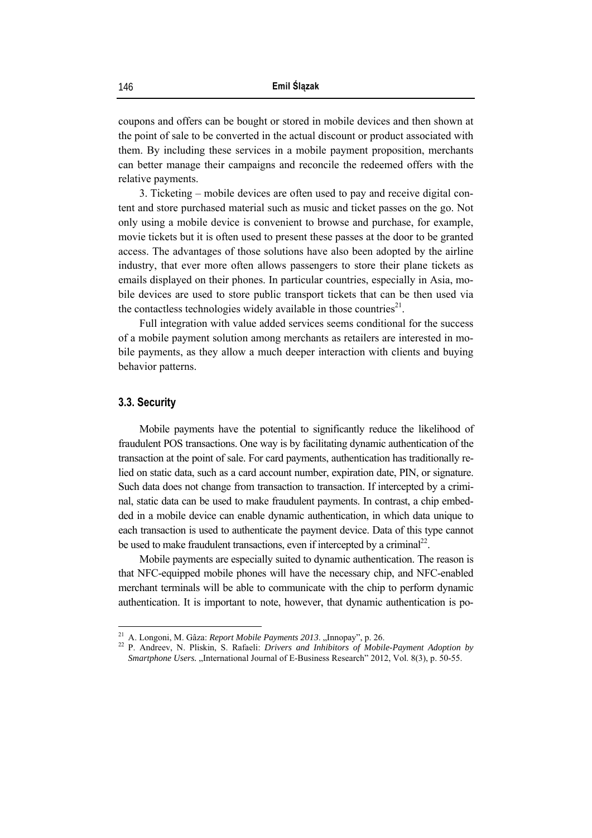coupons and offers can be bought or stored in mobile devices and then shown at the point of sale to be converted in the actual discount or product associated with them. By including these services in a mobile payment proposition, merchants can better manage their campaigns and reconcile the redeemed offers with the relative payments.

3. Ticketing – mobile devices are often used to pay and receive digital content and store purchased material such as music and ticket passes on the go. Not only using a mobile device is convenient to browse and purchase, for example, movie tickets but it is often used to present these passes at the door to be granted access. The advantages of those solutions have also been adopted by the airline industry, that ever more often allows passengers to store their plane tickets as emails displayed on their phones. In particular countries, especially in Asia, mobile devices are used to store public transport tickets that can be then used via the contactless technologies widely available in those countries<sup>21</sup>.

Full integration with value added services seems conditional for the success of a mobile payment solution among merchants as retailers are interested in mobile payments, as they allow a much deeper interaction with clients and buying behavior patterns.

## **3.3. Security**

Mobile payments have the potential to significantly reduce the likelihood of fraudulent POS transactions. One way is by facilitating dynamic authentication of the transaction at the point of sale. For card payments, authentication has traditionally relied on static data, such as a card account number, expiration date, PIN, or signature. Such data does not change from transaction to transaction. If intercepted by a criminal, static data can be used to make fraudulent payments. In contrast, a chip embedded in a mobile device can enable dynamic authentication, in which data unique to each transaction is used to authenticate the payment device. Data of this type cannot be used to make fraudulent transactions, even if intercepted by a criminal<sup>22</sup>.

Mobile payments are especially suited to dynamic authentication. The reason is that NFC-equipped mobile phones will have the necessary chip, and NFC-enabled merchant terminals will be able to communicate with the chip to perform dynamic authentication. It is important to note, however, that dynamic authentication is po-

<sup>&</sup>lt;sup>21</sup> A. Longoni, M. Gâza: Report Mobile Payments 2013. "Innopay", p. 26.

<sup>&</sup>lt;sup>22</sup> P. Andreev, N. Pliskin, S. Rafaeli: *Drivers and Inhibitors of Mobile-Payment Adoption by Smartphone Users.* "International Journal of E-Business Research" 2012, Vol. 8(3), p. 50-55.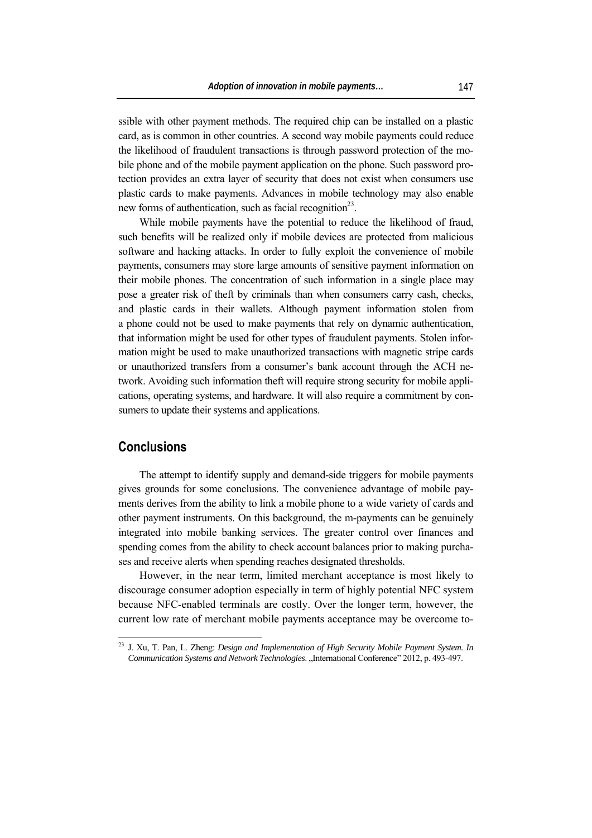ssible with other payment methods. The required chip can be installed on a plastic card, as is common in other countries. A second way mobile payments could reduce the likelihood of fraudulent transactions is through password protection of the mobile phone and of the mobile payment application on the phone. Such password protection provides an extra layer of security that does not exist when consumers use plastic cards to make payments. Advances in mobile technology may also enable new forms of authentication, such as facial recognition<sup>23</sup>.

While mobile payments have the potential to reduce the likelihood of fraud, such benefits will be realized only if mobile devices are protected from malicious software and hacking attacks. In order to fully exploit the convenience of mobile payments, consumers may store large amounts of sensitive payment information on their mobile phones. The concentration of such information in a single place may pose a greater risk of theft by criminals than when consumers carry cash, checks, and plastic cards in their wallets. Although payment information stolen from a phone could not be used to make payments that rely on dynamic authentication, that information might be used for other types of fraudulent payments. Stolen information might be used to make unauthorized transactions with magnetic stripe cards or unauthorized transfers from a consumer's bank account through the ACH network. Avoiding such information theft will require strong security for mobile applications, operating systems, and hardware. It will also require a commitment by consumers to update their systems and applications.

# **Conclusions**

 $\overline{a}$ 

The attempt to identify supply and demand-side triggers for mobile payments gives grounds for some conclusions. The convenience advantage of mobile payments derives from the ability to link a mobile phone to a wide variety of cards and other payment instruments. On this background, the m-payments can be genuinely integrated into mobile banking services. The greater control over finances and spending comes from the ability to check account balances prior to making purchases and receive alerts when spending reaches designated thresholds.

However, in the near term, limited merchant acceptance is most likely to discourage consumer adoption especially in term of highly potential NFC system because NFC-enabled terminals are costly. Over the longer term, however, the current low rate of merchant mobile payments acceptance may be overcome to-

<sup>23</sup> J. Xu, T. Pan, L. Zheng: *Design and Implementation of High Security Mobile Payment System. In Communication Systems and Network Technologies.* "International Conference" 2012, p. 493-497.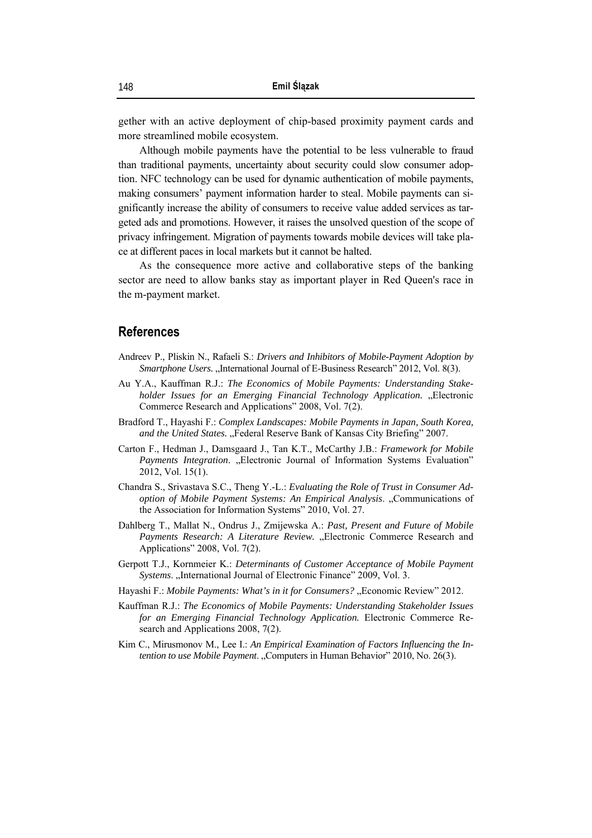gether with an active deployment of chip-based proximity payment cards and more streamlined mobile ecosystem.

Although mobile payments have the potential to be less vulnerable to fraud than traditional payments, uncertainty about security could slow consumer adoption. NFC technology can be used for dynamic authentication of mobile payments, making consumers' payment information harder to steal. Mobile payments can significantly increase the ability of consumers to receive value added services as targeted ads and promotions. However, it raises the unsolved question of the scope of privacy infringement. Migration of payments towards mobile devices will take place at different paces in local markets but it cannot be halted.

As the consequence more active and collaborative steps of the banking sector are need to allow banks stay as important player in Red Queen's race in the m-payment market.

# **References**

- Andreev P., Pliskin N., Rafaeli S.: *Drivers and Inhibitors of Mobile-Payment Adoption by Smartphone Users.* "International Journal of E-Business Research" 2012, Vol. 8(3).
- Au Y.A., Kauffman R.J.: *The Economics of Mobile Payments: Understanding Stakeholder Issues for an Emerging Financial Technology Application.* "Electronic Commerce Research and Applications" 2008, Vol. 7(2).
- Bradford T., Hayashi F.: *Complex Landscapes: Mobile Payments in Japan, South Korea, and the United States.* "Federal Reserve Bank of Kansas City Briefing" 2007.
- Carton F., Hedman J., Damsgaard J., Tan K.T., McCarthy J.B.: *Framework for Mobile Payments Integration.* "Electronic Journal of Information Systems Evaluation" 2012, Vol. 15(1).
- Chandra S., Srivastava S.C., Theng Y.-L.: *Evaluating the Role of Trust in Consumer Adoption of Mobile Payment Systems: An Empirical Analysis*. "Communications of the Association for Information Systems" 2010, Vol. 27.
- Dahlberg T., Mallat N., Ondrus J., Zmijewska A.: *Past, Present and Future of Mobile*  Payments Research: A Literature Review. "Electronic Commerce Research and Applications" 2008, Vol. 7(2).
- Gerpott T.J., Kornmeier K.: *Determinants of Customer Acceptance of Mobile Payment Systems*. "International Journal of Electronic Finance" 2009, Vol. 3.
- Hayashi F.: Mobile Payments: What's in it for Consumers? "Economic Review" 2012.
- Kauffman R.J.: *The Economics of Mobile Payments: Understanding Stakeholder Issues for an Emerging Financial Technology Application.* Electronic Commerce Research and Applications 2008, 7(2).
- Kim C., Mirusmonov M., Lee I.: *An Empirical Examination of Factors Influencing the Intention to use Mobile Payment.* "Computers in Human Behavior" 2010, No. 26(3).